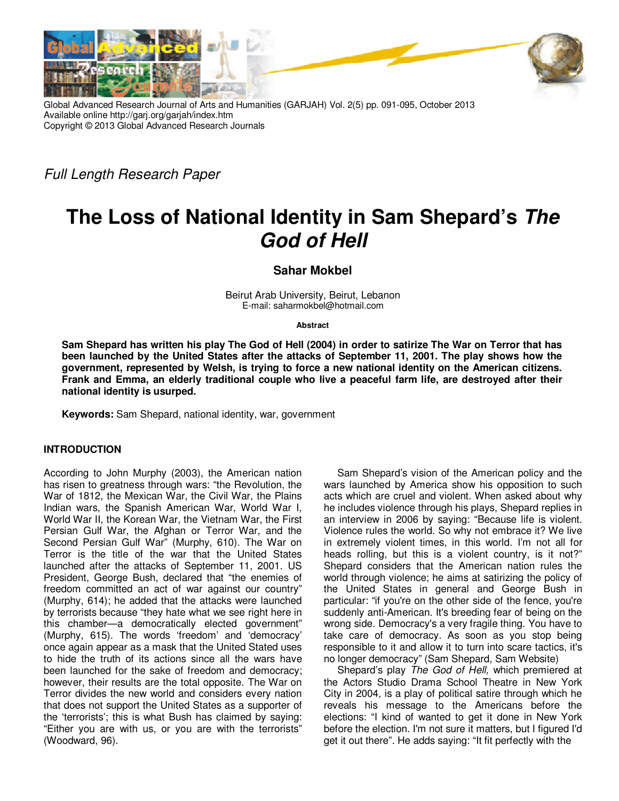

Global Advanced Research Journal of Arts and Humanities (GARJAH) Vol. 2(5) pp. 091-095, October 2013 Available online http://garj.org/garjah/index.htm Copyright © 2013 Global Advanced Research Journals

Full Length Research Paper

## **The Loss of National Identity in Sam Shepard's The God of Hell**

**Sahar Mokbel** 

Beirut Arab University, Beirut, Lebanon E-mail: saharmokbel@hotmail.com

**Abstract**

**Sam Shepard has written his play The God of Hell (2004) in order to satirize The War on Terror that has been launched by the United States after the attacks of September 11, 2001. The play shows how the government, represented by Welsh, is trying to force a new national identity on the American citizens. Frank and Emma, an elderly traditional couple who live a peaceful farm life, are destroyed after their national identity is usurped.** 

**Keywords:** Sam Shepard, national identity, war, government

## **INTRODUCTION**

According to John Murphy (2003), the American nation has risen to greatness through wars: "the Revolution, the War of 1812, the Mexican War, the Civil War, the Plains Indian wars, the Spanish American War, World War I, World War II, the Korean War, the Vietnam War, the First Persian Gulf War, the Afghan or Terror War, and the Second Persian Gulf War" (Murphy, 610). The War on Terror is the title of the war that the United States launched after the attacks of September 11, 2001. US President, George Bush, declared that "the enemies of freedom committed an act of war against our country" (Murphy, 614); he added that the attacks were launched by terrorists because "they hate what we see right here in this chamber—a democratically elected government" (Murphy, 615). The words 'freedom' and 'democracy' once again appear as a mask that the United Stated uses to hide the truth of its actions since all the wars have been launched for the sake of freedom and democracy; however, their results are the total opposite. The War on Terror divides the new world and considers every nation that does not support the United States as a supporter of the 'terrorists'; this is what Bush has claimed by saying: "Either you are with us, or you are with the terrorists" (Woodward, 96).

Sam Shepard's vision of the American policy and the wars launched by America show his opposition to such acts which are cruel and violent. When asked about why he includes violence through his plays, Shepard replies in an interview in 2006 by saying: "Because life is violent. Violence rules the world. So why not embrace it? We live in extremely violent times, in this world. I'm not all for heads rolling, but this is a violent country, is it not?" Shepard considers that the American nation rules the world through violence; he aims at satirizing the policy of the United States in general and George Bush in particular: "if you're on the other side of the fence, you're suddenly anti-American. It's breeding fear of being on the wrong side. Democracy's a very fragile thing. You have to take care of democracy. As soon as you stop being responsible to it and allow it to turn into scare tactics, it's no longer democracy" (Sam Shepard, Sam Website)

Shepard's play The God of Hell, which premiered at the Actors Studio Drama School Theatre in New York City in 2004, is a play of political satire through which he reveals his message to the Americans before the elections: "I kind of wanted to get it done in New York before the election. I'm not sure it matters, but I figured I'd get it out there". He adds saying: "It fit perfectly with the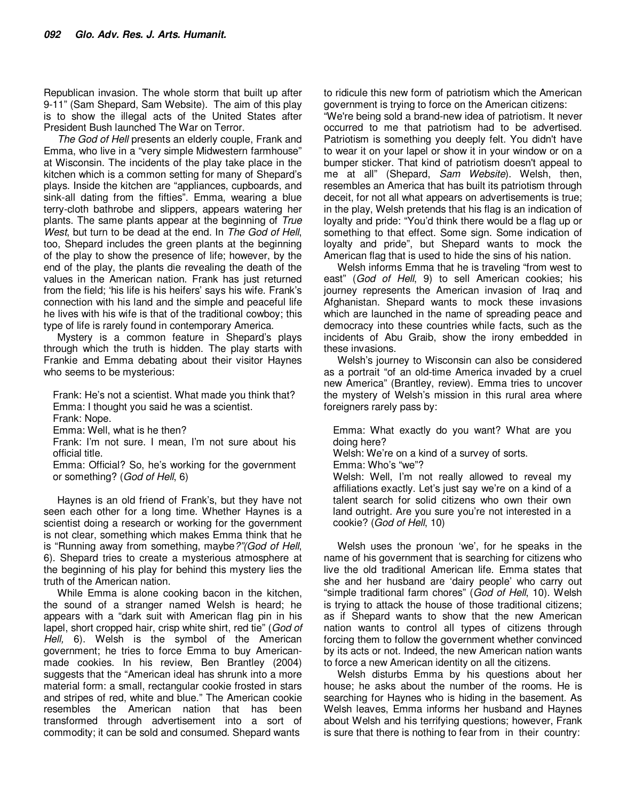Republican invasion. The whole storm that built up after 9-11" (Sam Shepard, Sam Website). The aim of this play is to show the illegal acts of the United States after President Bush launched The War on Terror.

The God of Hell presents an elderly couple, Frank and Emma, who live in a "very simple Midwestern farmhouse" at Wisconsin. The incidents of the play take place in the kitchen which is a common setting for many of Shepard's plays. Inside the kitchen are "appliances, cupboards, and sink-all dating from the fifties". Emma, wearing a blue terry-cloth bathrobe and slippers, appears watering her plants. The same plants appear at the beginning of True West, but turn to be dead at the end. In The God of Hell, too, Shepard includes the green plants at the beginning of the play to show the presence of life; however, by the end of the play, the plants die revealing the death of the values in the American nation. Frank has just returned from the field; 'his life is his heifers' says his wife. Frank's connection with his land and the simple and peaceful life he lives with his wife is that of the traditional cowboy; this type of life is rarely found in contemporary America.

Mystery is a common feature in Shepard's plays through which the truth is hidden. The play starts with Frankie and Emma debating about their visitor Haynes who seems to be mysterious:

Frank: He's not a scientist. What made you think that? Emma: I thought you said he was a scientist. Frank: Nope. Emma: Well, what is he then?

Frank: I'm not sure. I mean, I'm not sure about his official title.

Emma: Official? So, he's working for the government or something? (God of Hell, 6)

Haynes is an old friend of Frank's, but they have not seen each other for a long time. Whether Haynes is a scientist doing a research or working for the government is not clear, something which makes Emma think that he is "Running away from something, maybe?"(God of Hell, 6). Shepard tries to create a mysterious atmosphere at the beginning of his play for behind this mystery lies the truth of the American nation.

While Emma is alone cooking bacon in the kitchen, the sound of a stranger named Welsh is heard; he appears with a "dark suit with American flag pin in his lapel, short cropped hair, crisp white shirt, red tie" (God of Hell, 6). Welsh is the symbol of the American government; he tries to force Emma to buy Americanmade cookies. In his review, Ben Brantley (2004) suggests that the "American ideal has shrunk into a more material form: a small, rectangular cookie frosted in stars and stripes of red, white and blue." The American cookie resembles the American nation that has been transformed through advertisement into a sort of commodity; it can be sold and consumed. Shepard wants

to ridicule this new form of patriotism which the American government is trying to force on the American citizens:

"We're being sold a brand-new idea of patriotism. It never occurred to me that patriotism had to be advertised. Patriotism is something you deeply felt. You didn't have to wear it on your lapel or show it in your window or on a bumper sticker. That kind of patriotism doesn't appeal to me at all" (Shepard, Sam Website). Welsh, then, resembles an America that has built its patriotism through deceit, for not all what appears on advertisements is true; in the play, Welsh pretends that his flag is an indication of loyalty and pride: "You'd think there would be a flag up or something to that effect. Some sign. Some indication of loyalty and pride", but Shepard wants to mock the American flag that is used to hide the sins of his nation.

Welsh informs Emma that he is traveling "from west to east" (God of Hell, 9) to sell American cookies; his journey represents the American invasion of Iraq and Afghanistan. Shepard wants to mock these invasions which are launched in the name of spreading peace and democracy into these countries while facts, such as the incidents of Abu Graib, show the irony embedded in these invasions.

Welsh's journey to Wisconsin can also be considered as a portrait "of an old-time America invaded by a cruel new America" (Brantley, review). Emma tries to uncover the mystery of Welsh's mission in this rural area where foreigners rarely pass by:

Emma: What exactly do you want? What are you doing here?

Welsh: We're on a kind of a survey of sorts.

Emma: Who's "we"?

Welsh: Well, I'm not really allowed to reveal my affiliations exactly. Let's just say we're on a kind of a talent search for solid citizens who own their own land outright. Are you sure you're not interested in a cookie? (God of Hell, 10)

Welsh uses the pronoun 'we', for he speaks in the name of his government that is searching for citizens who live the old traditional American life. Emma states that she and her husband are 'dairy people' who carry out "simple traditional farm chores" (God of Hell, 10). Welsh is trying to attack the house of those traditional citizens; as if Shepard wants to show that the new American nation wants to control all types of citizens through forcing them to follow the government whether convinced by its acts or not. Indeed, the new American nation wants to force a new American identity on all the citizens.

Welsh disturbs Emma by his questions about her house; he asks about the number of the rooms. He is searching for Haynes who is hiding in the basement. As Welsh leaves, Emma informs her husband and Haynes about Welsh and his terrifying questions; however, Frank is sure that there is nothing to fear from in their country: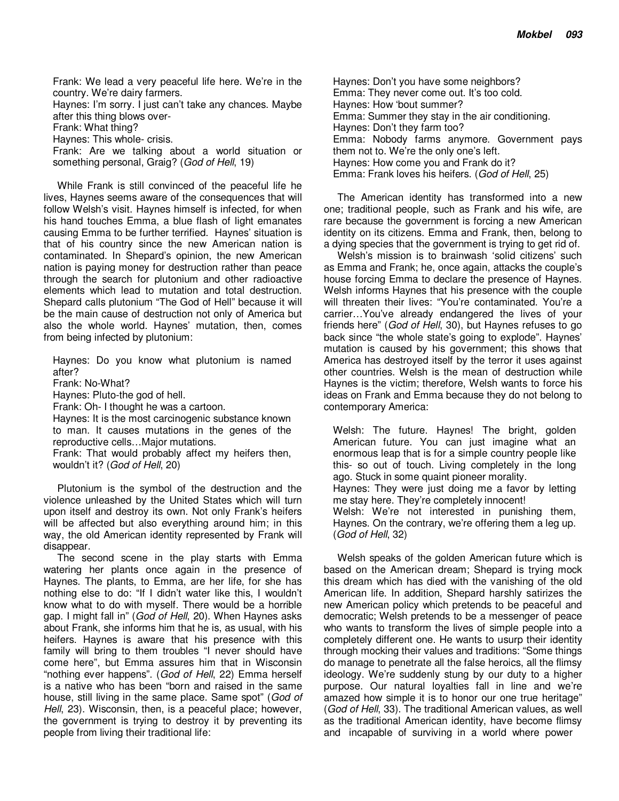Frank: We lead a very peaceful life here. We're in the country. We're dairy farmers. Haynes: I'm sorry. I just can't take any chances. Maybe after this thing blows over-Frank: What thing? Haynes: This whole- crisis.

Frank: Are we talking about a world situation or something personal, Graig? (God of Hell, 19)

While Frank is still convinced of the peaceful life he lives, Haynes seems aware of the consequences that will follow Welsh's visit. Haynes himself is infected, for when his hand touches Emma, a blue flash of light emanates causing Emma to be further terrified. Haynes' situation is that of his country since the new American nation is contaminated. In Shepard's opinion, the new American nation is paying money for destruction rather than peace through the search for plutonium and other radioactive elements which lead to mutation and total destruction. Shepard calls plutonium "The God of Hell" because it will be the main cause of destruction not only of America but also the whole world. Haynes' mutation, then, comes from being infected by plutonium:

Haynes: Do you know what plutonium is named after?

Frank: No-What?

Haynes: Pluto-the god of hell.

Frank: Oh- I thought he was a cartoon.

Haynes: It is the most carcinogenic substance known to man. It causes mutations in the genes of the reproductive cells…Major mutations.

Frank: That would probably affect my heifers then, wouldn't it? (God of Hell, 20)

Plutonium is the symbol of the destruction and the violence unleashed by the United States which will turn upon itself and destroy its own. Not only Frank's heifers will be affected but also everything around him; in this way, the old American identity represented by Frank will disappear.

The second scene in the play starts with Emma watering her plants once again in the presence of Haynes. The plants, to Emma, are her life, for she has nothing else to do: "If I didn't water like this, I wouldn't know what to do with myself. There would be a horrible gap. I might fall in" (God of Hell, 20). When Haynes asks about Frank, she informs him that he is, as usual, with his heifers. Haynes is aware that his presence with this family will bring to them troubles "I never should have come here", but Emma assures him that in Wisconsin "nothing ever happens". (God of Hell, 22) Emma herself is a native who has been "born and raised in the same house, still living in the same place. Same spot" (God of Hell, 23). Wisconsin, then, is a peaceful place; however, the government is trying to destroy it by preventing its people from living their traditional life:

Haynes: Don't you have some neighbors? Emma: They never come out. It's too cold. Haynes: How 'bout summer? Emma: Summer they stay in the air conditioning. Haynes: Don't they farm too? Emma: Nobody farms anymore. Government pays them not to. We're the only one's left. Haynes: How come you and Frank do it? Emma: Frank loves his heifers. (God of Hell, 25)

The American identity has transformed into a new one; traditional people, such as Frank and his wife, are rare because the government is forcing a new American identity on its citizens. Emma and Frank, then, belong to a dying species that the government is trying to get rid of.

Welsh's mission is to brainwash 'solid citizens' such as Emma and Frank; he, once again, attacks the couple's house forcing Emma to declare the presence of Haynes. Welsh informs Haynes that his presence with the couple will threaten their lives: "You're contaminated. You're a carrier…You've already endangered the lives of your friends here" (God of Hell, 30), but Haynes refuses to go back since "the whole state's going to explode". Haynes' mutation is caused by his government; this shows that America has destroyed itself by the terror it uses against other countries. Welsh is the mean of destruction while Haynes is the victim; therefore, Welsh wants to force his ideas on Frank and Emma because they do not belong to contemporary America:

Welsh: The future. Haynes! The bright, golden American future. You can just imagine what an enormous leap that is for a simple country people like this- so out of touch. Living completely in the long ago. Stuck in some quaint pioneer morality. Haynes: They were just doing me a favor by letting me stay here. They're completely innocent! Welsh: We're not interested in punishing them, Haynes. On the contrary, we're offering them a leg up. (God of Hell, 32)

Welsh speaks of the golden American future which is based on the American dream; Shepard is trying mock this dream which has died with the vanishing of the old American life. In addition, Shepard harshly satirizes the new American policy which pretends to be peaceful and democratic; Welsh pretends to be a messenger of peace who wants to transform the lives of simple people into a completely different one. He wants to usurp their identity through mocking their values and traditions: "Some things do manage to penetrate all the false heroics, all the flimsy ideology. We're suddenly stung by our duty to a higher purpose. Our natural loyalties fall in line and we're amazed how simple it is to honor our one true heritage" (God of Hell, 33). The traditional American values, as well as the traditional American identity, have become flimsy and incapable of surviving in a world where power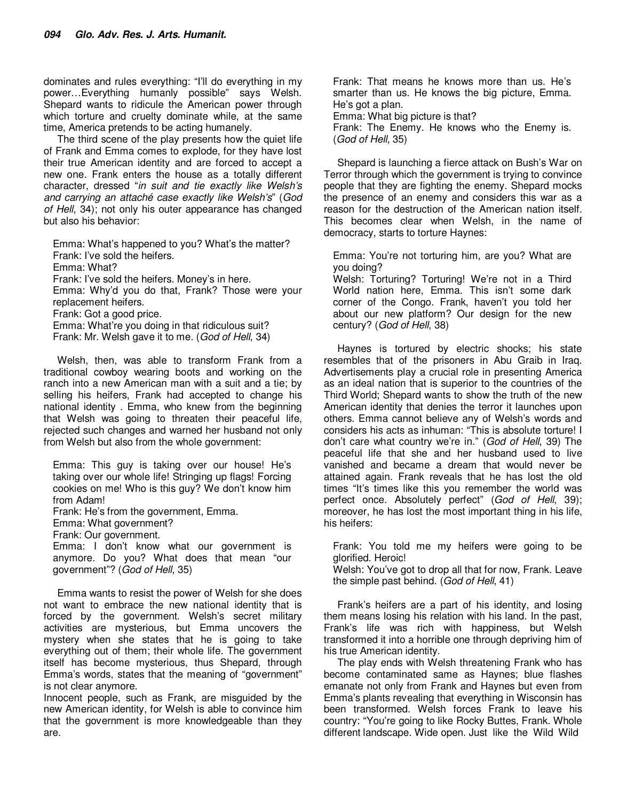dominates and rules everything: "I'll do everything in my power…Everything humanly possible" says Welsh. Shepard wants to ridicule the American power through which torture and cruelty dominate while, at the same time, America pretends to be acting humanely.

The third scene of the play presents how the quiet life of Frank and Emma comes to explode, for they have lost their true American identity and are forced to accept a new one. Frank enters the house as a totally different character, dressed "in suit and tie exactly like Welsh's and carrying an attaché case exactly like Welsh's" (God of Hell, 34); not only his outer appearance has changed but also his behavior:

Emma: What's happened to you? What's the matter? Frank: I've sold the heifers. Emma: What? Frank: I've sold the heifers. Money's in here. Emma: Why'd you do that, Frank? Those were your replacement heifers. Frank: Got a good price. Emma: What're you doing in that ridiculous suit? Frank: Mr. Welsh gave it to me. (God of Hell, 34)

Welsh, then, was able to transform Frank from a traditional cowboy wearing boots and working on the ranch into a new American man with a suit and a tie; by selling his heifers, Frank had accepted to change his national identity . Emma, who knew from the beginning that Welsh was going to threaten their peaceful life, rejected such changes and warned her husband not only from Welsh but also from the whole government:

Emma: This guy is taking over our house! He's taking over our whole life! Stringing up flags! Forcing cookies on me! Who is this guy? We don't know him from Adam! Frank: He's from the government, Emma. Emma: What government? Frank: Our government. Emma: I don't know what our government is anymore. Do you? What does that mean "our government"? (God of Hell, 35) Emma wants to resist the power of Welsh for she does

not want to embrace the new national identity that is forced by the government. Welsh's secret military activities are mysterious, but Emma uncovers the mystery when she states that he is going to take everything out of them; their whole life. The government itself has become mysterious, thus Shepard, through Emma's words, states that the meaning of "government" is not clear anymore.

Innocent people, such as Frank, are misguided by the new American identity, for Welsh is able to convince him that the government is more knowledgeable than they are.

Frank: That means he knows more than us. He's smarter than us. He knows the big picture, Emma. He's got a plan. Emma: What big picture is that?

Frank: The Enemy. He knows who the Enemy is. (God of Hell, 35)

Shepard is launching a fierce attack on Bush's War on Terror through which the government is trying to convince people that they are fighting the enemy. Shepard mocks the presence of an enemy and considers this war as a reason for the destruction of the American nation itself. This becomes clear when Welsh, in the name of democracy, starts to torture Haynes:

Emma: You're not torturing him, are you? What are you doing?

Welsh: Torturing? Torturing! We're not in a Third World nation here, Emma. This isn't some dark corner of the Congo. Frank, haven't you told her about our new platform? Our design for the new century? (God of Hell, 38)

Haynes is tortured by electric shocks; his state resembles that of the prisoners in Abu Graib in Iraq. Advertisements play a crucial role in presenting America as an ideal nation that is superior to the countries of the Third World; Shepard wants to show the truth of the new American identity that denies the terror it launches upon others. Emma cannot believe any of Welsh's words and considers his acts as inhuman: "This is absolute torture! I don't care what country we're in." (God of Hell, 39) The peaceful life that she and her husband used to live vanished and became a dream that would never be attained again. Frank reveals that he has lost the old times "It's times like this you remember the world was perfect once. Absolutely perfect" (God of Hell, 39); moreover, he has lost the most important thing in his life, his heifers:

Frank: You told me my heifers were going to be glorified. Heroic!

Welsh: You've got to drop all that for now, Frank. Leave the simple past behind. (God of Hell, 41)

Frank's heifers are a part of his identity, and losing them means losing his relation with his land. In the past, Frank's life was rich with happiness, but Welsh transformed it into a horrible one through depriving him of his true American identity.

The play ends with Welsh threatening Frank who has become contaminated same as Haynes; blue flashes emanate not only from Frank and Haynes but even from Emma's plants revealing that everything in Wisconsin has been transformed. Welsh forces Frank to leave his country: "You're going to like Rocky Buttes, Frank. Whole different landscape. Wide open. Just like the Wild Wild